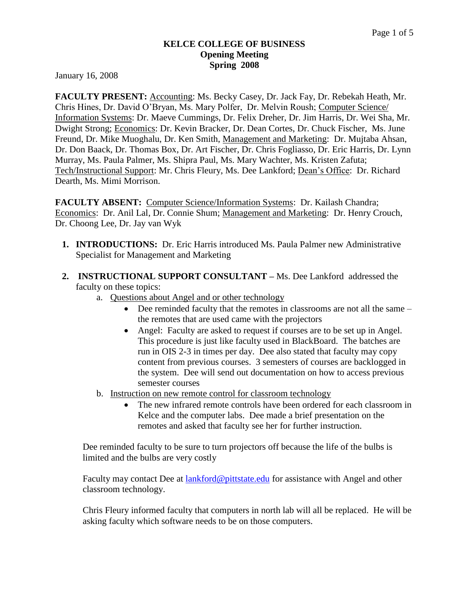#### **KELCE COLLEGE OF BUSINESS Opening Meeting Spring 2008**

January 16, 2008

**FACULTY PRESENT:** Accounting: Ms. Becky Casey, Dr. Jack Fay, Dr. Rebekah Heath, Mr. Chris Hines, Dr. David O'Bryan, Ms. Mary Polfer, Dr. Melvin Roush; Computer Science/ Information Systems: Dr. Maeve Cummings, Dr. Felix Dreher, Dr. Jim Harris, Dr. Wei Sha, Mr. Dwight Strong; Economics: Dr. Kevin Bracker, Dr. Dean Cortes, Dr. Chuck Fischer, Ms. June Freund, Dr. Mike Muoghalu, Dr. Ken Smith, Management and Marketing: Dr. Mujtaba Ahsan, Dr. Don Baack, Dr. Thomas Box, Dr. Art Fischer, Dr. Chris Fogliasso, Dr. Eric Harris, Dr. Lynn Murray, Ms. Paula Palmer, Ms. Shipra Paul, Ms. Mary Wachter, Ms. Kristen Zafuta; Tech/Instructional Support: Mr. Chris Fleury, Ms. Dee Lankford; Dean's Office: Dr. Richard Dearth, Ms. Mimi Morrison.

**FACULTY ABSENT:** Computer Science/Information Systems: Dr. Kailash Chandra; Economics: Dr. Anil Lal, Dr. Connie Shum; Management and Marketing: Dr. Henry Crouch, Dr. Choong Lee, Dr. Jay van Wyk

- **1. INTRODUCTIONS:** Dr. Eric Harris introduced Ms. Paula Palmer new Administrative Specialist for Management and Marketing
- **2. INSTRUCTIONAL SUPPORT CONSULTANT –** Ms. Dee Lankford addressed the faculty on these topics:
	- a. Questions about Angel and or other technology
		- Dee reminded faculty that the remotes in classrooms are not all the same the remotes that are used came with the projectors
		- Angel: Faculty are asked to request if courses are to be set up in Angel. This procedure is just like faculty used in BlackBoard. The batches are run in OIS 2-3 in times per day. Dee also stated that faculty may copy content from previous courses. 3 semesters of courses are backlogged in the system. Dee will send out documentation on how to access previous semester courses
	- b. Instruction on new remote control for classroom technology
		- The new infrared remote controls have been ordered for each classroom in Kelce and the computer labs. Dee made a brief presentation on the remotes and asked that faculty see her for further instruction.

Dee reminded faculty to be sure to turn projectors off because the life of the bulbs is limited and the bulbs are very costly

Faculty may contact Dee at [lankford@pittstate.edu](mailto:lankford@pittstate.edu) for assistance with Angel and other classroom technology.

Chris Fleury informed faculty that computers in north lab will all be replaced. He will be asking faculty which software needs to be on those computers.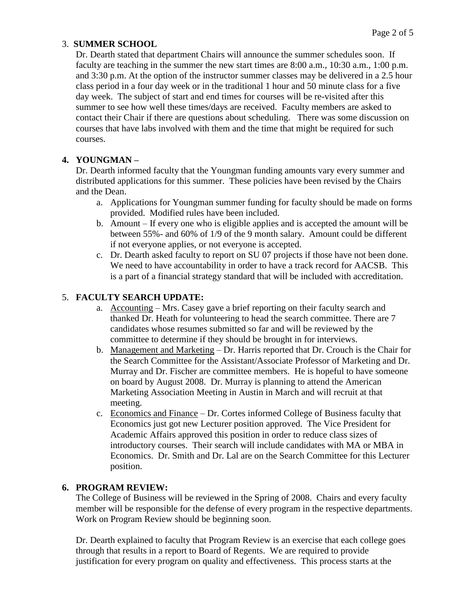### 3. **SUMMER SCHOOL**

Dr. Dearth stated that department Chairs will announce the summer schedules soon. If faculty are teaching in the summer the new start times are 8:00 a.m., 10:30 a.m., 1:00 p.m. and 3:30 p.m. At the option of the instructor summer classes may be delivered in a 2.5 hour class period in a four day week or in the traditional 1 hour and 50 minute class for a five day week. The subject of start and end times for courses will be re-visited after this summer to see how well these times/days are received. Faculty members are asked to contact their Chair if there are questions about scheduling. There was some discussion on courses that have labs involved with them and the time that might be required for such courses.

# **4. YOUNGMAN –**

Dr. Dearth informed faculty that the Youngman funding amounts vary every summer and distributed applications for this summer. These policies have been revised by the Chairs and the Dean.

- a. Applications for Youngman summer funding for faculty should be made on forms provided. Modified rules have been included.
- b. Amount If every one who is eligible applies and is accepted the amount will be between 55%- and 60% of 1/9 of the 9 month salary. Amount could be different if not everyone applies, or not everyone is accepted.
- c. Dr. Dearth asked faculty to report on SU 07 projects if those have not been done. We need to have accountability in order to have a track record for AACSB. This is a part of a financial strategy standard that will be included with accreditation.

## 5. **FACULTY SEARCH UPDATE:**

- a. Accounting Mrs. Casey gave a brief reporting on their faculty search and thanked Dr. Heath for volunteering to head the search committee. There are 7 candidates whose resumes submitted so far and will be reviewed by the committee to determine if they should be brought in for interviews.
- b. Management and Marketing Dr. Harris reported that Dr. Crouch is the Chair for the Search Committee for the Assistant/Associate Professor of Marketing and Dr. Murray and Dr. Fischer are committee members. He is hopeful to have someone on board by August 2008. Dr. Murray is planning to attend the American Marketing Association Meeting in Austin in March and will recruit at that meeting.
- c. Economics and Finance Dr. Cortes informed College of Business faculty that Economics just got new Lecturer position approved. The Vice President for Academic Affairs approved this position in order to reduce class sizes of introductory courses. Their search will include candidates with MA or MBA in Economics. Dr. Smith and Dr. Lal are on the Search Committee for this Lecturer position.

## **6. PROGRAM REVIEW:**

The College of Business will be reviewed in the Spring of 2008. Chairs and every faculty member will be responsible for the defense of every program in the respective departments. Work on Program Review should be beginning soon.

Dr. Dearth explained to faculty that Program Review is an exercise that each college goes through that results in a report to Board of Regents. We are required to provide justification for every program on quality and effectiveness. This process starts at the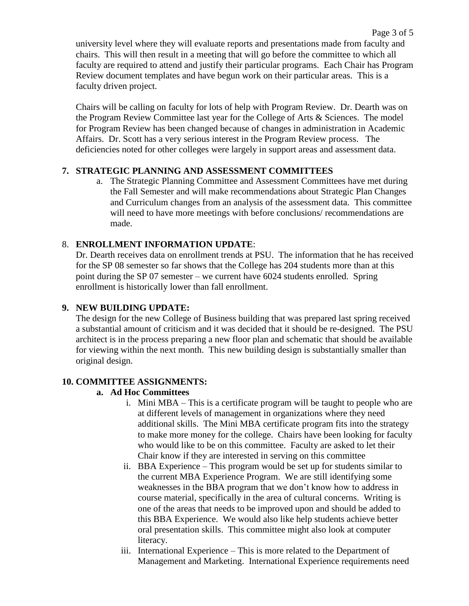university level where they will evaluate reports and presentations made from faculty and chairs. This will then result in a meeting that will go before the committee to which all faculty are required to attend and justify their particular programs. Each Chair has Program Review document templates and have begun work on their particular areas. This is a faculty driven project.

Chairs will be calling on faculty for lots of help with Program Review. Dr. Dearth was on the Program Review Committee last year for the College of Arts & Sciences. The model for Program Review has been changed because of changes in administration in Academic Affairs. Dr. Scott has a very serious interest in the Program Review process. The deficiencies noted for other colleges were largely in support areas and assessment data.

### **7. STRATEGIC PLANNING AND ASSESSMENT COMMITTEES**

a. The Strategic Planning Committee and Assessment Committees have met during the Fall Semester and will make recommendations about Strategic Plan Changes and Curriculum changes from an analysis of the assessment data. This committee will need to have more meetings with before conclusions/ recommendations are made.

### 8. **ENROLLMENT INFORMATION UPDATE**:

Dr. Dearth receives data on enrollment trends at PSU. The information that he has received for the SP 08 semester so far shows that the College has 204 students more than at this point during the SP 07 semester – we current have 6024 students enrolled. Spring enrollment is historically lower than fall enrollment.

### **9. NEW BUILDING UPDATE:**

The design for the new College of Business building that was prepared last spring received a substantial amount of criticism and it was decided that it should be re-designed. The PSU architect is in the process preparing a new floor plan and schematic that should be available for viewing within the next month. This new building design is substantially smaller than original design.

### **10. COMMITTEE ASSIGNMENTS:**

### **a. Ad Hoc Committees**

- i. Mini MBA This is a certificate program will be taught to people who are at different levels of management in organizations where they need additional skills. The Mini MBA certificate program fits into the strategy to make more money for the college. Chairs have been looking for faculty who would like to be on this committee. Faculty are asked to let their Chair know if they are interested in serving on this committee
- ii. BBA Experience This program would be set up for students similar to the current MBA Experience Program. We are still identifying some weaknesses in the BBA program that we don't know how to address in course material, specifically in the area of cultural concerns. Writing is one of the areas that needs to be improved upon and should be added to this BBA Experience. We would also like help students achieve better oral presentation skills. This committee might also look at computer literacy.
- iii. International Experience This is more related to the Department of Management and Marketing. International Experience requirements need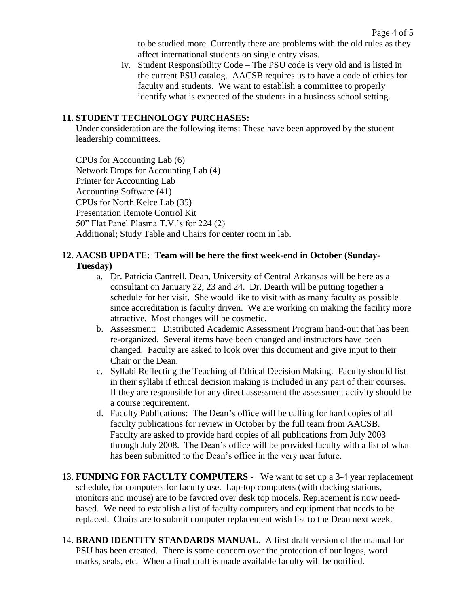to be studied more. Currently there are problems with the old rules as they affect international students on single entry visas.

iv. Student Responsibility Code – The PSU code is very old and is listed in the current PSU catalog. AACSB requires us to have a code of ethics for faculty and students. We want to establish a committee to properly identify what is expected of the students in a business school setting.

#### **11. STUDENT TECHNOLOGY PURCHASES:**

Under consideration are the following items: These have been approved by the student leadership committees.

CPUs for Accounting Lab (6) Network Drops for Accounting Lab (4) Printer for Accounting Lab Accounting Software (41) CPUs for North Kelce Lab (35) Presentation Remote Control Kit 50" Flat Panel Plasma T.V.'s for 224 (2) Additional; Study Table and Chairs for center room in lab.

### **12. AACSB UPDATE: Team will be here the first week-end in October (Sunday-Tuesday)**

- a. Dr. Patricia Cantrell, Dean, University of Central Arkansas will be here as a consultant on January 22, 23 and 24. Dr. Dearth will be putting together a schedule for her visit. She would like to visit with as many faculty as possible since accreditation is faculty driven. We are working on making the facility more attractive. Most changes will be cosmetic.
- b. Assessment: Distributed Academic Assessment Program hand-out that has been re-organized. Several items have been changed and instructors have been changed. Faculty are asked to look over this document and give input to their Chair or the Dean.
- c. Syllabi Reflecting the Teaching of Ethical Decision Making. Faculty should list in their syllabi if ethical decision making is included in any part of their courses. If they are responsible for any direct assessment the assessment activity should be a course requirement.
- d. Faculty Publications: The Dean's office will be calling for hard copies of all faculty publications for review in October by the full team from AACSB. Faculty are asked to provide hard copies of all publications from July 2003 through July 2008. The Dean's office will be provided faculty with a list of what has been submitted to the Dean's office in the very near future.
- 13. **FUNDING FOR FACULTY COMPUTERS** We want to set up a 3-4 year replacement schedule, for computers for faculty use. Lap-top computers (with docking stations, monitors and mouse) are to be favored over desk top models. Replacement is now needbased. We need to establish a list of faculty computers and equipment that needs to be replaced. Chairs are to submit computer replacement wish list to the Dean next week.
- 14. **BRAND IDENTITY STANDARDS MANUAL**. A first draft version of the manual for PSU has been created. There is some concern over the protection of our logos, word marks, seals, etc. When a final draft is made available faculty will be notified.